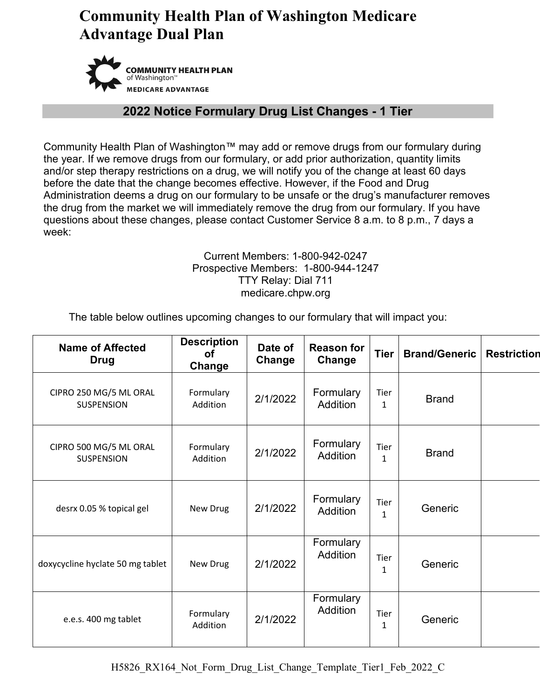

#### **2022 Notice Formulary Drug List Changes - 1 Tier**

Community Health Plan of Washington™ may add or remove drugs from our formulary during the year. If we remove drugs from our formulary, or add prior authorization, quantity limits and/or step therapy restrictions on a drug, we will notify you of the change at least 60 days before the date that the change becomes effective. However, if the Food and Drug Administration deems a drug on our formulary to be unsafe or the drug's manufacturer removes the drug from the market we will immediately remove the drug from our formulary. If you have questions about these changes, please contact Customer Service 8 a.m. to 8 p.m., 7 days a week:

#### Current Members: 1-800-942-0247 Prospective Members: 1-800-944-1247 TTY Relay: Dial 711 medicare.chpw.org

The table below outlines upcoming changes to our formulary that will impact you:

| <b>Name of Affected</b><br><b>Drug</b>      | <b>Description</b><br>Οf<br>Change | Date of<br>Change | <b>Reason for</b><br>Change  | <b>Tier</b>          | <b>Brand/Generic</b> | <b>Restriction</b> |
|---------------------------------------------|------------------------------------|-------------------|------------------------------|----------------------|----------------------|--------------------|
| CIPRO 250 MG/5 ML ORAL<br><b>SUSPENSION</b> | Formulary<br>Addition              | 2/1/2022          | Formulary<br>Addition        | Tier<br>1            | <b>Brand</b>         |                    |
| CIPRO 500 MG/5 ML ORAL<br><b>SUSPENSION</b> | Formulary<br>Addition              | 2/1/2022          | Formulary<br><b>Addition</b> | <b>Tier</b><br>1     | <b>Brand</b>         |                    |
| desrx 0.05 % topical gel                    | New Drug                           | 2/1/2022          | Formulary<br><b>Addition</b> | Tier<br>$\mathbf{1}$ | Generic              |                    |
| doxycycline hyclate 50 mg tablet            | New Drug                           | 2/1/2022          | Formulary<br>Addition        | Tier<br>$\mathbf{1}$ | Generic              |                    |
| e.e.s. 400 mg tablet                        | Formulary<br>Addition              | 2/1/2022          | Formulary<br><b>Addition</b> | Tier<br>1            | Generic              |                    |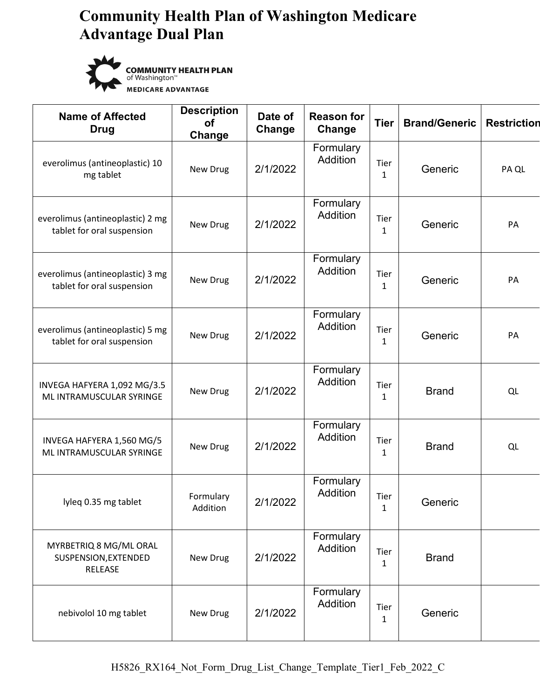

**COMMUNITY HEALTH PLAN**<br>of Washington™<br>MEDICARE ADVANTAGE

| <b>Name of Affected</b><br><b>Drug</b>                         | <b>Description</b><br><b>of</b><br>Change | Date of<br>Change | <b>Reason for</b><br>Change | <b>Tier</b>          | <b>Brand/Generic</b> | <b>Restriction</b> |
|----------------------------------------------------------------|-------------------------------------------|-------------------|-----------------------------|----------------------|----------------------|--------------------|
| everolimus (antineoplastic) 10<br>mg tablet                    | New Drug                                  | 2/1/2022          | Formulary<br>Addition       | Tier<br>$\mathbf{1}$ | Generic              | PA QL              |
| everolimus (antineoplastic) 2 mg<br>tablet for oral suspension | New Drug                                  | 2/1/2022          | Formulary<br>Addition       | Tier<br>$\mathbf{1}$ | Generic              | PA                 |
| everolimus (antineoplastic) 3 mg<br>tablet for oral suspension | New Drug                                  | 2/1/2022          | Formulary<br>Addition       | Tier<br>1            | Generic              | PA                 |
| everolimus (antineoplastic) 5 mg<br>tablet for oral suspension | New Drug                                  | 2/1/2022          | Formulary<br>Addition       | Tier<br>$\mathbf{1}$ | Generic              | PA                 |
| INVEGA HAFYERA 1,092 MG/3.5<br>ML INTRAMUSCULAR SYRINGE        | New Drug                                  | 2/1/2022          | Formulary<br>Addition       | Tier<br>1            | <b>Brand</b>         | QL                 |
| INVEGA HAFYERA 1,560 MG/5<br>ML INTRAMUSCULAR SYRINGE          | New Drug                                  | 2/1/2022          | Formulary<br>Addition       | Tier<br>1            | <b>Brand</b>         | QL                 |
| lyleq 0.35 mg tablet                                           | Formulary<br>Addition                     | 2/1/2022          | Formulary<br>Addition       | Tier<br>1            | Generic              |                    |
| MYRBETRIQ 8 MG/ML ORAL<br>SUSPENSION, EXTENDED<br>RELEASE      | New Drug                                  | 2/1/2022          | Formulary<br>Addition       | Tier<br>1            | <b>Brand</b>         |                    |
| nebivolol 10 mg tablet                                         | New Drug                                  | 2/1/2022          | Formulary<br>Addition       | Tier<br>1            | Generic              |                    |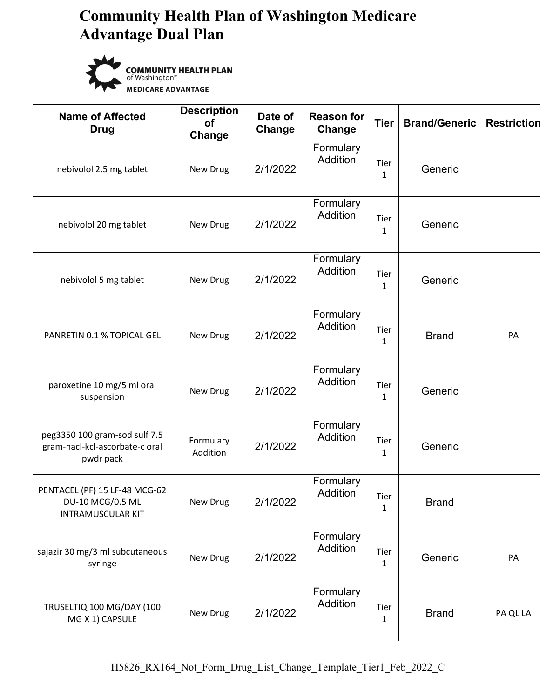

**COMMUNITY HEALTH PLAN** of Washington<sup>"</sup> **MEDICARE ADVANTAGE** 

| <b>Name of Affected</b><br><b>Drug</b>                                        | <b>Description</b><br><b>of</b><br>Change | Date of<br>Change | <b>Reason for</b><br>Change | <b>Tier</b>          | <b>Brand/Generic</b> | <b>Restriction</b> |
|-------------------------------------------------------------------------------|-------------------------------------------|-------------------|-----------------------------|----------------------|----------------------|--------------------|
| nebivolol 2.5 mg tablet                                                       | New Drug                                  | 2/1/2022          | Formulary<br>Addition       | Tier<br>$\mathbf{1}$ | Generic              |                    |
| nebivolol 20 mg tablet                                                        | New Drug                                  | 2/1/2022          | Formulary<br>Addition       | Tier<br>$\mathbf{1}$ | Generic              |                    |
| nebivolol 5 mg tablet                                                         | New Drug                                  | 2/1/2022          | Formulary<br>Addition       | Tier<br>$\mathbf{1}$ | Generic              |                    |
| PANRETIN 0.1 % TOPICAL GEL                                                    | New Drug                                  | 2/1/2022          | Formulary<br>Addition       | Tier<br>$\mathbf{1}$ | <b>Brand</b>         | PA                 |
| paroxetine 10 mg/5 ml oral<br>suspension                                      | New Drug                                  | 2/1/2022          | Formulary<br>Addition       | Tier<br>$\mathbf{1}$ | Generic              |                    |
| peg3350 100 gram-sod sulf 7.5<br>gram-nacl-kcl-ascorbate-c oral<br>pwdr pack  | Formulary<br>Addition                     | 2/1/2022          | Formulary<br>Addition       | Tier<br>$\mathbf{1}$ | Generic              |                    |
| PENTACEL (PF) 15 LF-48 MCG-62<br>DU-10 MCG/0.5 ML<br><b>INTRAMUSCULAR KIT</b> | New Drug                                  | 2/1/2022          | Formulary<br>Addition       | Tier<br>$\mathbf{1}$ | <b>Brand</b>         |                    |
| sajazir 30 mg/3 ml subcutaneous<br>syringe                                    | New Drug                                  | 2/1/2022          | Formulary<br>Addition       | Tier<br>$\mathbf{1}$ | Generic              | PA                 |
| TRUSELTIQ 100 MG/DAY (100<br>MG X 1) CAPSULE                                  | New Drug                                  | 2/1/2022          | Formulary<br>Addition       | Tier<br>$\mathbf{1}$ | <b>Brand</b>         | PA QL LA           |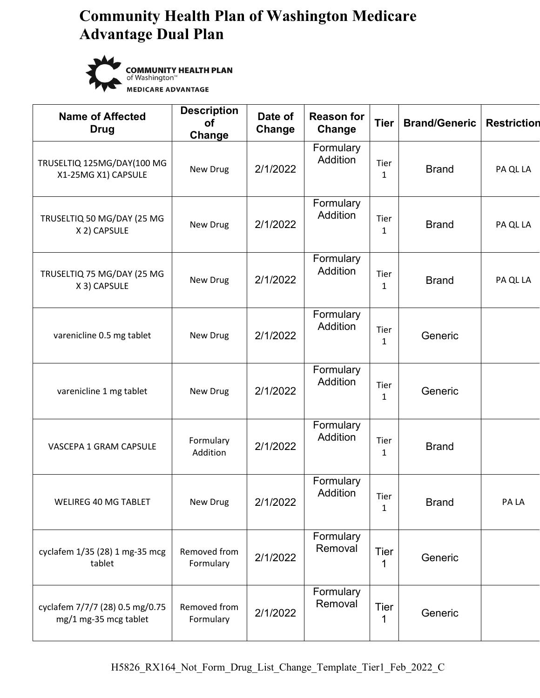

**COMMUNITY HEALTH PLAN** of Washington<sup>"</sup> **MEDICARE ADVANTAGE** 

| <b>Name of Affected</b><br><b>Drug</b>                   | <b>Description</b><br><b>of</b><br>Change | Date of<br>Change | <b>Reason for</b><br>Change  | <b>Tier</b>          | <b>Brand/Generic</b> | <b>Restriction</b> |
|----------------------------------------------------------|-------------------------------------------|-------------------|------------------------------|----------------------|----------------------|--------------------|
| TRUSELTIQ 125MG/DAY(100 MG<br>X1-25MG X1) CAPSULE        | New Drug                                  | 2/1/2022          | Formulary<br>Addition        | Tier<br>$\mathbf{1}$ | <b>Brand</b>         | PA QL LA           |
| TRUSELTIQ 50 MG/DAY (25 MG<br>X 2) CAPSULE               | New Drug                                  | 2/1/2022          | Formulary<br>Addition        | Tier<br>$\mathbf{1}$ | <b>Brand</b>         | PA QL LA           |
| TRUSELTIQ 75 MG/DAY (25 MG<br>X 3) CAPSULE               | New Drug                                  | 2/1/2022          | Formulary<br><b>Addition</b> | Tier<br>$\mathbf{1}$ | <b>Brand</b>         | PA QL LA           |
| varenicline 0.5 mg tablet                                | New Drug                                  | 2/1/2022          | Formulary<br>Addition        | Tier<br>$\mathbf{1}$ | Generic              |                    |
| varenicline 1 mg tablet                                  | New Drug                                  | 2/1/2022          | Formulary<br>Addition        | Tier<br>$\mathbf{1}$ | Generic              |                    |
| VASCEPA 1 GRAM CAPSULE                                   | Formulary<br>Addition                     | 2/1/2022          | Formulary<br>Addition        | Tier<br>$\mathbf{1}$ | <b>Brand</b>         |                    |
| <b>WELIREG 40 MG TABLET</b>                              | New Drug                                  | 2/1/2022          | Formulary<br>Addition        | Tier<br>$\mathbf{1}$ | <b>Brand</b>         | PA LA              |
| cyclafem 1/35 (28) 1 mg-35 mcg<br>tablet                 | Removed from<br>Formulary                 | 2/1/2022          | Formulary<br>Removal         | Tier<br>1            | Generic              |                    |
| cyclafem 7/7/7 (28) 0.5 mg/0.75<br>mg/1 mg-35 mcg tablet | Removed from<br>Formulary                 | 2/1/2022          | Formulary<br>Removal         | Tier<br>1            | Generic              |                    |